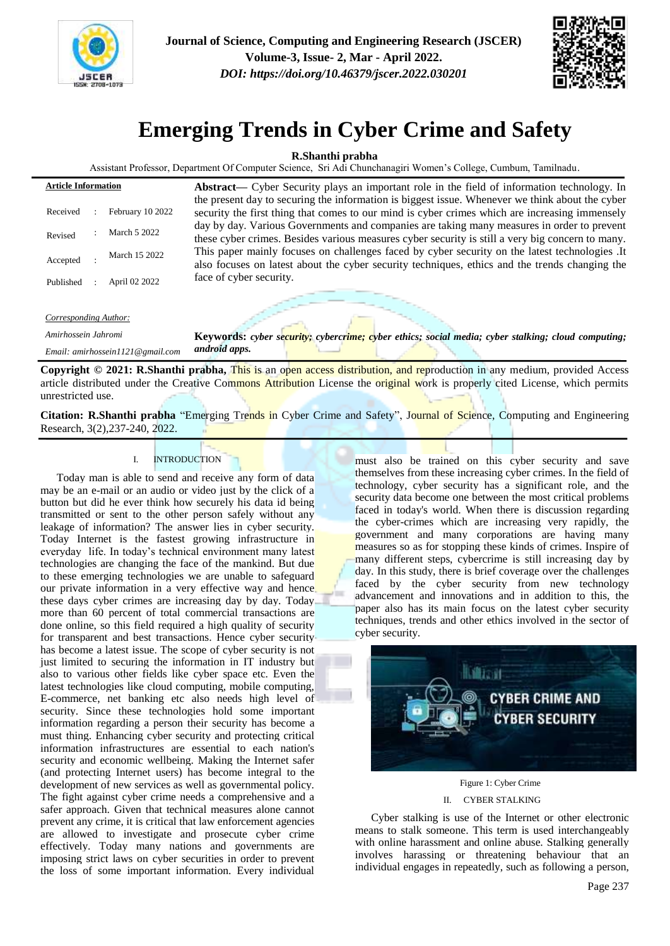



# **Emerging Trends in Cyber Crime and Safety**

**R.Shanthi prabha**

|                                                                                                                          |  |                  | Assistant Professor, Department Of Computer Science, Sri Adi Chunchanagiri Women's College, Cumbum, Tamilnadu.                                                                                                                                                                                                                                                                                                                                                                                                                  |
|--------------------------------------------------------------------------------------------------------------------------|--|------------------|---------------------------------------------------------------------------------------------------------------------------------------------------------------------------------------------------------------------------------------------------------------------------------------------------------------------------------------------------------------------------------------------------------------------------------------------------------------------------------------------------------------------------------|
| <b>Article Information</b>                                                                                               |  |                  | <b>Abstract—</b> Cyber Security plays an important role in the field of information technology. In<br>the present day to securing the information is biggest issue. Whenever we think about the cyber                                                                                                                                                                                                                                                                                                                           |
| Received                                                                                                                 |  | February 10 2022 | security the first thing that comes to our mind is cyber crimes which are increasing immensely<br>day by day. Various Governments and companies are taking many measures in order to prevent<br>these cyber crimes. Besides various measures cyber security is still a very big concern to many.<br>This paper mainly focuses on challenges faced by cyber security on the latest technologies. It<br>also focuses on latest about the cyber security techniques, ethics and the trends changing the<br>face of cyber security. |
| Revised                                                                                                                  |  | March 5 2022     |                                                                                                                                                                                                                                                                                                                                                                                                                                                                                                                                 |
| Accepted                                                                                                                 |  | March 15 2022    |                                                                                                                                                                                                                                                                                                                                                                                                                                                                                                                                 |
| Published                                                                                                                |  | April 02 2022    |                                                                                                                                                                                                                                                                                                                                                                                                                                                                                                                                 |
|                                                                                                                          |  |                  |                                                                                                                                                                                                                                                                                                                                                                                                                                                                                                                                 |
| Corresponding Author:                                                                                                    |  |                  |                                                                                                                                                                                                                                                                                                                                                                                                                                                                                                                                 |
| Amirhossein Jahromi                                                                                                      |  |                  | <b>Keywords:</b> cyber security; cybercrime; cyber ethics; social media; cyber stalking; cloud computing;                                                                                                                                                                                                                                                                                                                                                                                                                       |
| Email: amirhossein1121@gmail.com                                                                                         |  |                  | android apps.                                                                                                                                                                                                                                                                                                                                                                                                                                                                                                                   |
| Convright © 2021. R Shanthi prahha. This is an open access distribution, and reproduction in any medium, provided Access |  |                  |                                                                                                                                                                                                                                                                                                                                                                                                                                                                                                                                 |

**Copyright © 2021: R.Shanthi prabha,** This is an open access distribution, and reproduction in any medium, provided Access article distributed under the Creative Commons Attribution License the original work is properly cited License, which permits unrestricted use.

**Citation: R.Shanthi prabha** "Emerging Trends in Cyber Crime and Safety", Journal of Science, Computing and Engineering Research, 3(2),237-240, 2022.

## I. INTRODUCTION

Today man is able to send and receive any form of data may be an e-mail or an audio or video just by the click of a button but did he ever think how securely his data id being transmitted or sent to the other person safely without any leakage of information? The answer lies in cyber security. Today Internet is the fastest growing infrastructure in everyday life. In today's technical environment many latest technologies are changing the face of the mankind. But due to these emerging technologies we are unable to safeguard our private information in a very effective way and hence these days cyber crimes are increasing day by day. Today more than 60 percent of total commercial transactions are done online, so this field required a high quality of security for transparent and best transactions. Hence cyber security has become a latest issue. The scope of cyber security is not just limited to securing the information in IT industry but also to various other fields like cyber space etc. Even the latest technologies like cloud computing, mobile computing, E-commerce, net banking etc also needs high level of security. Since these technologies hold some important information regarding a person their security has become a must thing. Enhancing cyber security and protecting critical information infrastructures are essential to each nation's security and economic wellbeing. Making the Internet safer (and protecting Internet users) has become integral to the development of new services as well as governmental policy. The fight against cyber crime needs a comprehensive and a safer approach. Given that technical measures alone cannot prevent any crime, it is critical that law enforcement agencies are allowed to investigate and prosecute cyber crime effectively. Today many nations and governments are imposing strict laws on cyber securities in order to prevent the loss of some important information. Every individual

must also be trained on this cyber security and save themselves from these increasing cyber crimes. In the field of technology, cyber security has a significant role, and the security data become one between the most critical problems faced in today's world. When there is discussion regarding the cyber-crimes which are increasing very rapidly, the government and many corporations are having many measures so as for stopping these kinds of crimes. Inspire of many different steps, cybercrime is still increasing day by day. In this study, there is brief coverage over the challenges faced by the cyber security from new technology advancement and innovations and in addition to this, the paper also has its main focus on the latest cyber security techniques, trends and other ethics involved in the sector of cyber security.



Figure 1: Cyber Crime

II. CYBER STALKING

Cyber stalking is use of the Internet or other electronic means to stalk someone. This term is used interchangeably with online harassment and online abuse. Stalking generally involves harassing or threatening behaviour that an individual engages in repeatedly, such as following a person,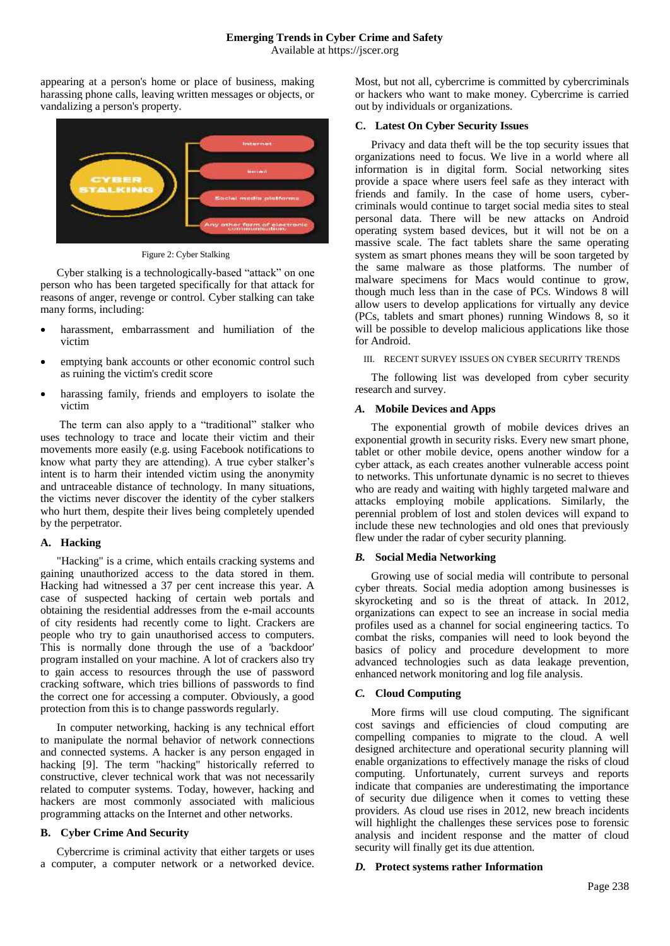appearing at a person's home or place of business, making harassing phone calls, leaving written messages or objects, or vandalizing a person's property.



Figure 2: Cyber Stalking

Cyber stalking is a technologically-based "attack" on one person who has been targeted specifically for that attack for reasons of anger, revenge or control. Cyber stalking can take many forms, including:

- harassment, embarrassment and humiliation of the victim
- emptying bank accounts or other economic control such as ruining the victim's credit score
- harassing family, friends and employers to isolate the victim

The term can also apply to a "traditional" stalker who uses technology to trace and locate their victim and their movements more easily (e.g. using Facebook notifications to know what party they are attending). A true cyber stalker's intent is to harm their intended victim using the anonymity and untraceable distance of technology. In many situations, the victims never discover the identity of the cyber stalkers who hurt them, despite their lives being completely upended by the perpetrator.

# **A. Hacking**

"Hacking" is a crime, which entails cracking systems and gaining unauthorized access to the data stored in them. Hacking had witnessed a 37 per cent increase this year. A case of suspected hacking of certain web portals and obtaining the residential addresses from the e-mail accounts of city residents had recently come to light. Crackers are people who try to gain unauthorised access to computers. This is normally done through the use of a 'backdoor' program installed on your machine. A lot of crackers also try to gain access to resources through the use of password cracking software, which tries billions of passwords to find the correct one for accessing a computer. Obviously, a good protection from this is to change passwords regularly.

In computer networking, hacking is any technical effort to manipulate the normal behavior of network connections and connected systems. A hacker is any person engaged in hacking [9]. The term "hacking" historically referred to constructive, clever technical work that was not necessarily related to computer systems. Today, however, hacking and hackers are most commonly associated with malicious programming attacks on the Internet and other networks.

# **B. Cyber Crime And Security**

Cybercrime is criminal activity that either targets or uses a computer, a computer network or a networked device. Most, but not all, cybercrime is committed by cybercriminals or hackers who want to make money. Cybercrime is carried out by individuals or organizations.

# **C. Latest On Cyber Security Issues**

Privacy and data theft will be the top security issues that organizations need to focus. We live in a world where all information is in digital form. Social networking sites provide a space where users feel safe as they interact with friends and family. In the case of home users, cybercriminals would continue to target social media sites to steal personal data. There will be new attacks on Android operating system based devices, but it will not be on a massive scale. The fact tablets share the same operating system as smart phones means they will be soon targeted by the same malware as those platforms. The number of malware specimens for Macs would continue to grow, though much less than in the case of PCs. Windows 8 will allow users to develop applications for virtually any device (PCs, tablets and smart phones) running Windows 8, so it will be possible to develop malicious applications like those for Android.

III. RECENT SURVEY ISSUES ON CYBER SECURITY TRENDS

The following list was developed from cyber security research and survey.

# *A.* **Mobile Devices and Apps**

The exponential growth of mobile devices drives an exponential growth in security risks. Every new smart phone, tablet or other mobile device, opens another window for a cyber attack, as each creates another vulnerable access point to networks. This unfortunate dynamic is no secret to thieves who are ready and waiting with highly targeted malware and attacks employing mobile applications. Similarly, the perennial problem of lost and stolen devices will expand to include these new technologies and old ones that previously flew under the radar of cyber security planning.

# *B.* **Social Media Networking**

Growing use of social media will contribute to personal cyber threats. Social media adoption among businesses is skyrocketing and so is the threat of attack. In 2012, organizations can expect to see an increase in social media profiles used as a channel for social engineering tactics. To combat the risks, companies will need to look beyond the basics of policy and procedure development to more advanced technologies such as data leakage prevention, enhanced network monitoring and log file analysis.

# *C.* **Cloud Computing**

More firms will use cloud computing. The significant cost savings and efficiencies of cloud computing are compelling companies to migrate to the cloud. A well designed architecture and operational security planning will enable organizations to effectively manage the risks of cloud computing. Unfortunately, current surveys and reports indicate that companies are underestimating the importance of security due diligence when it comes to vetting these providers. As cloud use rises in 2012, new breach incidents will highlight the challenges these services pose to forensic analysis and incident response and the matter of cloud security will finally get its due attention.

# *D.* **Protect systems rather Information**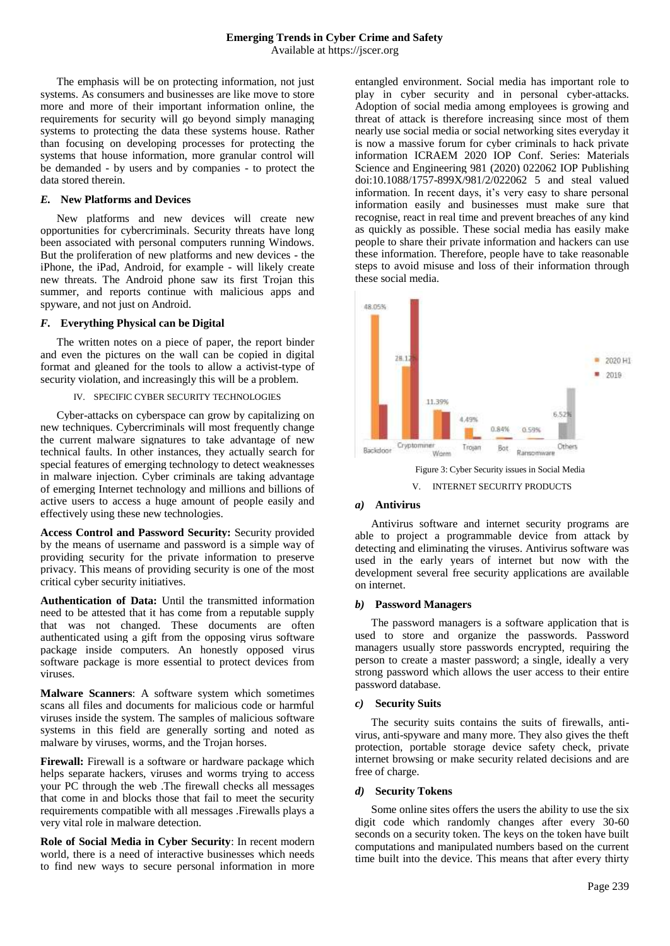The emphasis will be on protecting information, not just systems. As consumers and businesses are like move to store more and more of their important information online, the requirements for security will go beyond simply managing systems to protecting the data these systems house. Rather than focusing on developing processes for protecting the systems that house information, more granular control will be demanded - by users and by companies - to protect the data stored therein.

## *E.* **New Platforms and Devices**

New platforms and new devices will create new opportunities for cybercriminals. Security threats have long been associated with personal computers running Windows. But the proliferation of new platforms and new devices - the iPhone, the iPad, Android, for example - will likely create new threats. The Android phone saw its first Trojan this summer, and reports continue with malicious apps and spyware, and not just on Android.

## *F.* **Everything Physical can be Digital**

The written notes on a piece of paper, the report binder and even the pictures on the wall can be copied in digital format and gleaned for the tools to allow a activist-type of security violation, and increasingly this will be a problem.

## IV. SPECIFIC CYBER SECURITY TECHNOLOGIES

Cyber-attacks on cyberspace can grow by capitalizing on new techniques. Cybercriminals will most frequently change the current malware signatures to take advantage of new technical faults. In other instances, they actually search for special features of emerging technology to detect weaknesses in malware injection. Cyber criminals are taking advantage of emerging Internet technology and millions and billions of active users to access a huge amount of people easily and effectively using these new technologies.

**Access Control and Password Security:** Security provided by the means of username and password is a simple way of providing security for the private information to preserve privacy. This means of providing security is one of the most critical cyber security initiatives.

**Authentication of Data:** Until the transmitted information need to be attested that it has come from a reputable supply that was not changed. These documents are often authenticated using a gift from the opposing virus software package inside computers. An honestly opposed virus software package is more essential to protect devices from viruses.

**Malware Scanners**: A software system which sometimes scans all files and documents for malicious code or harmful viruses inside the system. The samples of malicious software systems in this field are generally sorting and noted as malware by viruses, worms, and the Trojan horses.

**Firewall:** Firewall is a software or hardware package which helps separate hackers, viruses and worms trying to access your PC through the web .The firewall checks all messages that come in and blocks those that fail to meet the security requirements compatible with all messages .Firewalls plays a very vital role in malware detection.

**Role of Social Media in Cyber Security**: In recent modern world, there is a need of interactive businesses which needs to find new ways to secure personal information in more

entangled environment. Social media has important role to play in cyber security and in personal cyber-attacks. Adoption of social media among employees is growing and threat of attack is therefore increasing since most of them nearly use social media or social networking sites everyday it is now a massive forum for cyber criminals to hack private information ICRAEM 2020 IOP Conf. Series: Materials Science and Engineering 981 (2020) 022062 IOP Publishing doi:10.1088/1757-899X/981/2/022062 5 and steal valued information. In recent days, it's very easy to share personal information easily and businesses must make sure that recognise, react in real time and prevent breaches of any kind as quickly as possible. These social media has easily make people to share their private information and hackers can use these information. Therefore, people have to take reasonable steps to avoid misuse and loss of their information through these social media.



V. INTERNET SECURITY PRODUCTS

## *a)* **Antivirus**

Antivirus software and internet security programs are able to project a programmable device from attack by detecting and eliminating the viruses. Antivirus software was used in the early years of internet but now with the development several free security applications are available on internet.

## *b)* **Password Managers**

The password managers is a software application that is used to store and organize the passwords. Password managers usually store passwords encrypted, requiring the person to create a master password; a single, ideally a very strong password which allows the user access to their entire password database.

## *c)* **Security Suits**

The security suits contains the suits of firewalls, antivirus, anti-spyware and many more. They also gives the theft protection, portable storage device safety check, private internet browsing or make security related decisions and are free of charge.

## *d)* **Security Tokens**

Some online sites offers the users the ability to use the six digit code which randomly changes after every 30-60 seconds on a security token. The keys on the token have built computations and manipulated numbers based on the current time built into the device. This means that after every thirty